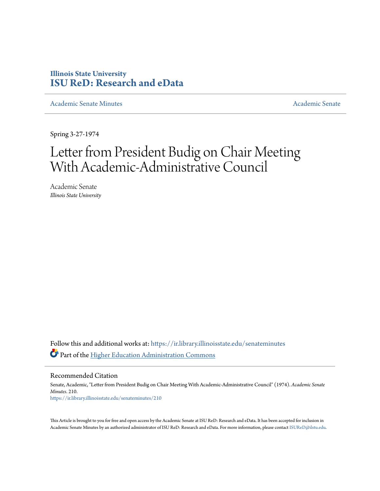## **Illinois State University [ISU ReD: Research and eData](https://ir.library.illinoisstate.edu?utm_source=ir.library.illinoisstate.edu%2Fsenateminutes%2F210&utm_medium=PDF&utm_campaign=PDFCoverPages)**

[Academic Senate Minutes](https://ir.library.illinoisstate.edu/senateminutes?utm_source=ir.library.illinoisstate.edu%2Fsenateminutes%2F210&utm_medium=PDF&utm_campaign=PDFCoverPages) [Academic Senate](https://ir.library.illinoisstate.edu/senate?utm_source=ir.library.illinoisstate.edu%2Fsenateminutes%2F210&utm_medium=PDF&utm_campaign=PDFCoverPages) Academic Senate

Spring 3-27-1974

## Letter from President Budig on Chair Meeting With Academic-Administrative Council

Academic Senate *Illinois State University*

Follow this and additional works at: [https://ir.library.illinoisstate.edu/senateminutes](https://ir.library.illinoisstate.edu/senateminutes?utm_source=ir.library.illinoisstate.edu%2Fsenateminutes%2F210&utm_medium=PDF&utm_campaign=PDFCoverPages) Part of the [Higher Education Administration Commons](http://network.bepress.com/hgg/discipline/791?utm_source=ir.library.illinoisstate.edu%2Fsenateminutes%2F210&utm_medium=PDF&utm_campaign=PDFCoverPages)

Recommended Citation

Senate, Academic, "Letter from President Budig on Chair Meeting With Academic-Administrative Council" (1974). *Academic Senate Minutes*. 210. [https://ir.library.illinoisstate.edu/senateminutes/210](https://ir.library.illinoisstate.edu/senateminutes/210?utm_source=ir.library.illinoisstate.edu%2Fsenateminutes%2F210&utm_medium=PDF&utm_campaign=PDFCoverPages)

This Article is brought to you for free and open access by the Academic Senate at ISU ReD: Research and eData. It has been accepted for inclusion in Academic Senate Minutes by an authorized administrator of ISU ReD: Research and eData. For more information, please contact [ISUReD@ilstu.edu.](mailto:ISUReD@ilstu.edu)